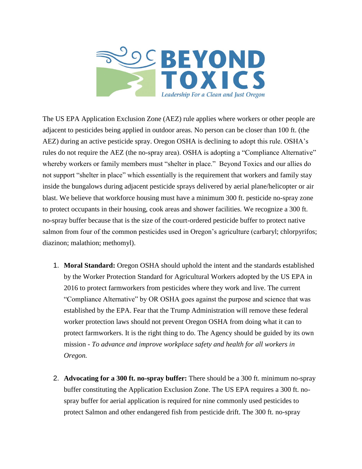

The US EPA Application Exclusion Zone (AEZ) rule applies where workers or other people are adjacent to pesticides being applied in outdoor areas. No person can be closer than 100 ft. (the AEZ) during an active pesticide spray. Oregon OSHA is declining to adopt this rule. OSHA's rules do not require the AEZ (the no-spray area). OSHA is adopting a "Compliance Alternative" whereby workers or family members must "shelter in place." Beyond Toxics and our allies do not support "shelter in place" which essentially is the requirement that workers and family stay inside the bungalows during adjacent pesticide sprays delivered by aerial plane/helicopter or air blast. We believe that workforce housing must have a minimum 300 ft. pesticide no-spray zone to protect occupants in their housing, cook areas and shower facilities. We recognize a 300 ft. no-spray buffer because that is the size of the court-ordered pesticide buffer to protect native salmon from four of the common pesticides used in Oregon's agriculture (carbaryl; chlorpyrifos; diazinon; malathion; methomyl).

- 1. **Moral Standard:** Oregon OSHA should uphold the intent and the standards established by the Worker Protection Standard for Agricultural Workers adopted by the US EPA in 2016 to protect farmworkers from pesticides where they work and live. The current "Compliance Alternative" by OR OSHA goes against the purpose and science that was established by the EPA. Fear that the Trump Administration will remove these federal worker protection laws should not prevent Oregon OSHA from doing what it can to protect farmworkers. It is the right thing to do. The Agency should be guided by its own mission - *To advance and improve workplace safety and health for all workers in Oregon.*
- 2. **Advocating for a 300 ft. no-spray buffer:** There should be a 300 ft. minimum no-spray buffer constituting the Application Exclusion Zone. The US EPA requires a 300 ft. nospray buffer for aerial application is required for nine commonly used pesticides to protect Salmon and other endangered fish from pesticide drift. The 300 ft. no-spray